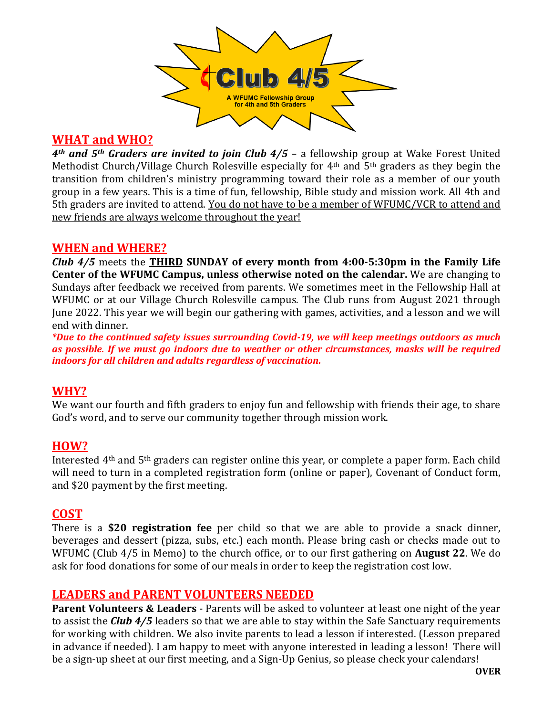

## **WHAT and WHO?**

*4th and 5th Graders are invited to join Club 4/5* – a fellowship group at Wake Forest United Methodist Church/Village Church Rolesville especially for 4th and 5th graders as they begin the transition from children's ministry programming toward their role as a member of our youth group in a few years. This is a time of fun, fellowship, Bible study and mission work. All 4th and 5th graders are invited to attend. You do not have to be a member of WFUMC/VCR to attend and new friends are always welcome throughout the year!

## **WHEN and WHERE?**

*Club 4/5* meets the **THIRD SUNDAY of every month from 4:00-5:30pm in the Family Life Center of the WFUMC Campus, unless otherwise noted on the calendar.** We are changing to Sundays after feedback we received from parents. We sometimes meet in the Fellowship Hall at WFUMC or at our Village Church Rolesville campus. The Club runs from August 2021 through June 2022. This year we will begin our gathering with games, activities, and a lesson and we will end with dinner.

*\*Due to the continued safety issues surrounding Covid-19, we will keep meetings outdoors as much as possible. If we must go indoors due to weather or other circumstances, masks will be required indoors for all children and adults regardless of vaccination.* 

## **WHY?**

We want our fourth and fifth graders to enjoy fun and fellowship with friends their age, to share God's word, and to serve our community together through mission work.

## **HOW?**

Interested 4th and 5th graders can register online this year, or complete a paper form. Each child will need to turn in a completed registration form (online or paper), Covenant of Conduct form, and \$20 payment by the first meeting.

## **COST**

There is a **\$20 registration fee** per child so that we are able to provide a snack dinner, beverages and dessert (pizza, subs, etc.) each month. Please bring cash or checks made out to WFUMC (Club 4/5 in Memo) to the church office, or to our first gathering on **August 22**. We do ask for food donations for some of our meals in order to keep the registration cost low.

## **LEADERS and PARENT VOLUNTEERS NEEDED**

**Parent Volunteers & Leaders** - Parents will be asked to volunteer at least one night of the year to assist the *Club 4/5* leaders so that we are able to stay within the Safe Sanctuary requirements for working with children. We also invite parents to lead a lesson if interested. (Lesson prepared in advance if needed). I am happy to meet with anyone interested in leading a lesson! There will be a sign-up sheet at our first meeting, and a Sign-Up Genius, so please check your calendars!